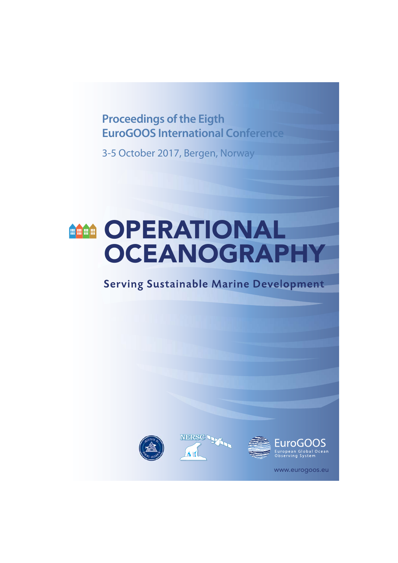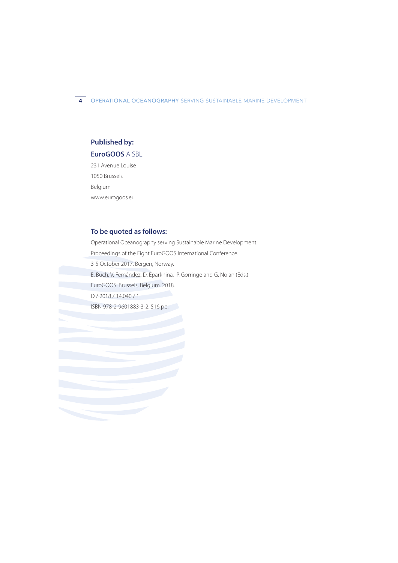4 OPERATIONAL OCEANOGRAPHY SERVING SUSTAINABLE MARINE DEVELOPMENT

### **Published by:**

#### **EuroGOOS** AISBL

231 Avenue Louise 1050 Brussels Belgium www.eurogoos.eu

## **To be quoted as follows:**

Operational Oceanography serving Sustainable Marine Development. Proceedings of the Eight EuroGOOS International Conference. 3-5 October 2017, Bergen, Norway. E. Buch, V. Fernández, D. Eparkhina, P. Gorringe and G. Nolan (Eds.) EuroGOOS. Brussels, Belgium. 2018. D / 2018 / 14.040 / 1

ISBN 978-2-9601883-3-2. 516 pp.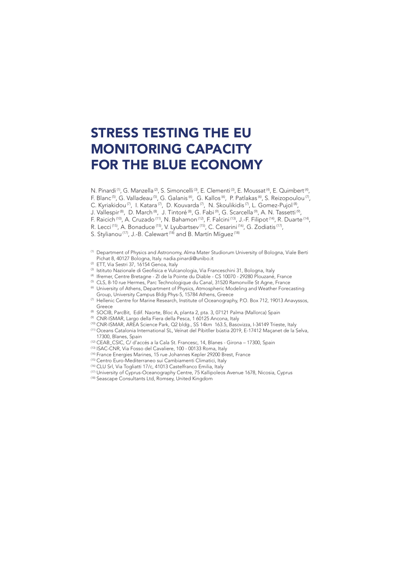# STRESS TESTING THE EU MONITORING CAPACITY FOR THE BLUE ECONOMY

N. Pinardi<sup>(1)</sup>, G. Manzella<sup>(2)</sup>, S. Simoncelli<sup>(3)</sup>, E. Clementi<sup>(3)</sup>, E. Moussat<sup>(4)</sup>, E. Quimbert<sup>(4)</sup>,

F. Blanc<sup>(5)</sup>, G. Valladeau<sup>(5)</sup>, G. Galanis<sup>(6)</sup>, G. Kallos<sup>(6)</sup>, P. Patlakas<sup>(6)</sup>, S. Reizopoulou<sup>(7)</sup>,

C. Kyriakidou<sup>(7)</sup>, I. Katara<sup>(7)</sup>, D. Kouvarda<sup>(7)</sup>, N. Skoulikidis<sup>(7)</sup>, L. Gomez-Pujol<sup>(8)</sup>,

J. Vallespir<sup>(8)</sup>, D. March<sup>(8)</sup>, J. Tintoré<sup>(8)</sup>, G. Fabi<sup>(9)</sup>, G. Scarcella<sup>(9)</sup>, A. N. Tassetti<sup>(9)</sup>,

- F. Raicich (10), A. Cruzado (11), N. Bahamon (12), F. Falcini (13), J.-F. Filipot (14), R. Duarte (14),
- R. Lecci<sup>(15)</sup>, A. Bonaduce<sup>(15)</sup>, V. Lyubartsev<sup>(15)</sup>, C. Cesarini<sup>(16)</sup>, G. Zodiatis<sup>(17)</sup>,

S. Stylianou<sup>(17)</sup>, J.-B. Calewart<sup>(18)</sup> and B. Martín Míquez<sup>(18)</sup>

- (1) Department of Physics and Astronomy, Alma Mater Studiorum University of Bologna, Viale Berti Pichat 8, 40127 Bologna, Italy. nadia.pinardi@unibo.it
- (2) ETT, Via Sestri 37, 16154 Genoa, Italy
- $^{\text{\tiny{(3)}}}$  Istituto Nazionale di Geofisica e Vulcanologia, Via Franceschini 31, Bologna, Italy
- 
- (4) Ifremer, Centre Bretagne ZI de la Pointe du Diable CS 10070 29280 Plouzané, France (5) CLS, 8-10 rue Hermes, Parc Technologique du Canal, 31520 Ramonville St Agne, France
- (6) University of Athens, Department of Physics, Atmospheric Modeling and Weather Forecasting
- Group, University Campus Bldg Phys-5, 15784 Athens, Greece
- (7) Hellenic Centre for Marine Research, Institute of Oceanography, P.O. Box 712, 19013 Anavyssos, Greece
- (8) SOCIB, ParcBit, Edif. Naorte, Bloc A, planta 2, pta. 3, 07121 Palma (Mallorca) Spain
- (9) CNR-ISMAR, Largo della Fiera della Pesca, 1 60125 Ancona, Italy
- (10) CNR-ISMAR, AREA Science Park, Q2 bldg., SS 14km 163.5, Basovizza, I-34149 Trieste, Italy (11) Oceans Catalonia International SL, Veïnat del Pibitller bústia 2019, E-17412 Maçanet de la Selva, 17300, Blanes, Spain
- (12) CEAB\_CSIC, C/ d'accés a la Cala St. Francesc, 14, Blanes Girona 17300, Spain
- (13) ISAC-CNR, Via Fosso del Cavaliere, 100 00133 Roma, Italy
- <sup>(14)</sup> France Energies Marines, 15 rue Johannes Kepler 29200 Brest, France<br><sup>(15)</sup> Centro Euro-Mediterraneo sui Cambiamenti Climatici, Italy
- 
- (16) CLU Srl, Via Togliatti 17/c, 41013 Castelfranco Emilia, Italy
- (17) University of Cyprus-Oceanography Centre, 75 Kallipoleos Avenue 1678, Nicosia, Cyprus
- (18) Seascape Consultants Ltd, Romsey, United Kingdom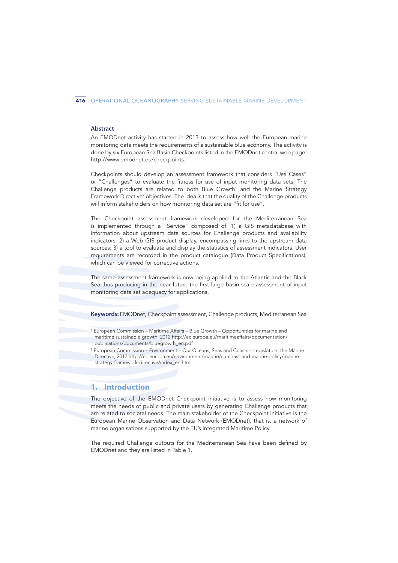#### 416 OPERATIONAL OCEANOGRAPHY SERVING SUSTAINABLE MARINE DEVELOPMENT

#### **Abstract**

An EMODnet activity has started in 2013 to assess how well the European marine monitoring data meets the requirements of a sustainable blue economy. The activity is done by six European Sea Basin Checkpoints listed in the EMODnet central web page: http://www.emodnet.eu/checkpoints.

Checkpoints should develop an assessment framework that considers "Use Cases" or "Challenges" to evaluate the fitness for use of input monitoring data sets. The Challenge products are related to both Blue Growth<sup>1</sup> and the Marine Strategy Framework Directive<sup>2</sup> objectives. The idea is that the quality of the Challenge products will inform stakeholders on how monitoring data set are "fit for use".

The Checkpoint assessment framework developed for the Mediterranean Sea is implemented through a "Service" composed of: 1) a GIS metadatabase with information about upstream data sources for Challenge products and availability indicators; 2) a Web GIS product display, encompassing links to the upstream data sources; 3) a tool to evaluate and display the statistics of assessment indicators. User requirements are recorded in the product catalogue (Data Product Specifications), which can be viewed for corrective actions.

The same assessment framework is now being applied to the Atlantic and the Black Sea thus producing in the near future the first large basin scale assessment of input monitoring data set adequacy for applications.

**Keywords:** EMODnet, Checkpoint assessment, Challenge products, Mediterranean Sea

## **1. Introduction**

The objective of the EMODnet Checkpoint initiative is to assess how monitoring meets the needs of public and private users by generating Challenge products that are related to societal needs. The main stakeholder of the Checkpoint initiative is the European Marine Observation and Data Network (EMODnet), that is, a network of marine organisations supported by the EU's Integrated Maritime Policy.

The required Challenge outputs for the Mediterranean Sea have been defined by EMODnet and they are listed in Table 1.

<sup>1</sup> European Commission – Maritime Affairs – Blue Growth – Opportunities for marine and maritime sustainable growth, 2012 http://ec.europa.eu/maritimeaffairs/documentation/ publications/documents/bluegrowth\_en.pdf

<sup>2</sup> European Commission – Environment – Our Oceans, Seas and Coasts – Legislation: the Marine Directive, 2012 http://ec.europa.eu/environment/marine/eu-coast-and-marine-policy/marinestrategy-framework-directive/index\_en.htm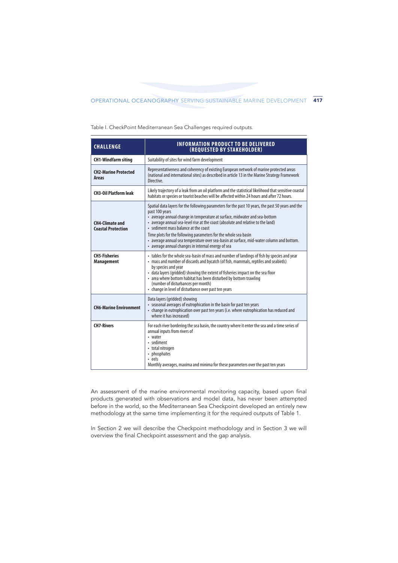Table I. CheckPoint Mediterranean Sea Challenges required outputs.

| <b>CHALLENGE</b>                                    | <b>INFORMATION PRODUCT TO BE DELIVERED</b><br>(REQUESTED BY STAKEHOLDER)                                                                                                                                                                                                                                                                                                                                                                                                                                                                           |
|-----------------------------------------------------|----------------------------------------------------------------------------------------------------------------------------------------------------------------------------------------------------------------------------------------------------------------------------------------------------------------------------------------------------------------------------------------------------------------------------------------------------------------------------------------------------------------------------------------------------|
| <b>CH1-Windfarm siting</b>                          | Suitability of sites for wind farm development                                                                                                                                                                                                                                                                                                                                                                                                                                                                                                     |
| <b>CH2-Marine Protected</b><br><b>Areas</b>         | Representativeness and coherency of existing European network of marine protected areas<br>(national and international sites) as described in article 13 in the Marine Strategy Framework<br>Directive.                                                                                                                                                                                                                                                                                                                                            |
| <b>CH3-Oil Platform leak</b>                        | Likely trajectory of a leak from an oil platform and the statistical likelihood that sensitive coastal<br>habitats or species or tourist beaches will be affected within 24 hours and after 72 hours.                                                                                                                                                                                                                                                                                                                                              |
| <b>CH4-Climate and</b><br><b>Coastal Protection</b> | Spatial data layers for the following parameters for the past 10 years, the past 50 years and the<br>past 100 years<br>• average annual change in temperature at surface, midwater and sea-bottom<br>• average annual sea-level rise at the coast (absolute and relative to the land)<br>• sediment mass balance at the coast<br>Time plots for the following parameters for the whole sea basin<br>• average annual sea temperature over sea-basin at surface, mid-water column and bottom.<br>• average annual changes in internal energy of sea |
| <b>CH5-Fisheries</b><br><b>Management</b>           | • tables for the whole sea-basin of mass and number of landings of fish by species and year<br>• mass and number of discards and bycatch (of fish, mammals, reptiles and seabirds)<br>by species and year<br>• data layers (gridded) showing the extent of fisheries impact on the sea floor<br>• area where bottom habitat has been disturbed by bottom trawling<br>(number of disturbances per month)<br>• change in level of disturbance over past ten years                                                                                    |
| <b>CH6-Marine Environment</b>                       | Data layers (gridded) showing<br>• seasonal averages of eutrophication in the basin for past ten years<br>• change in eutrophication over past ten years (i.e. where eutrophication has reduced and<br>where it has increased)                                                                                                                                                                                                                                                                                                                     |
| <b>CH7-Rivers</b>                                   | For each river bordering the sea basin, the country where it enter the sea and a time series of<br>annual inputs from rivers of<br>• water<br>· sediment<br>• total nitrogen<br>• phosphates<br>• eels<br>Monthly averages, maxima and minima for these parameters over the past ten years                                                                                                                                                                                                                                                         |

An assessment of the marine environmental monitoring capacity, based upon final products generated with observations and model data, has never been attempted before in the world, so the Mediterranean Sea Checkpoint developed an entirely new methodology at the same time implementing it for the required outputs of Table 1.

In Section 2 we will describe the Checkpoint methodology and in Section 3 we will overview the final Checkpoint assessment and the gap analysis.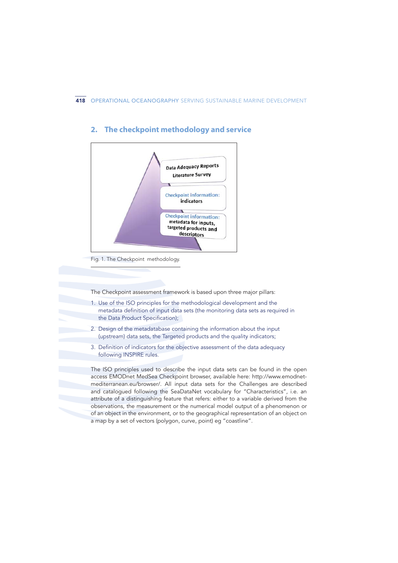

# **2. The checkpoint methodology and service**

The Checkpoint assessment framework is based upon three major pillars:

- 1. Use of the ISO principles for the methodological development and the metadata definition of input data sets (the monitoring data sets as required in the Data Product Specification);
- 2. Design of the metadatabase containing the information about the input (upstream) data sets, the Targeted products and the quality indicators;
- 3. Definition of indicators for the objective assessment of the data adequacy following INSPIRE rules.

The ISO principles used to describe the input data sets can be found in the open access EMODnet MedSea Checkpoint browser, available here: http://www.emodnetmediterranean.eu/browser/. All input data sets for the Challenges are described and catalogued following the SeaDataNet vocabulary for "Characteristics", i.e. an attribute of a distinguishing feature that refers: either to a variable derived from the observations, the measurement or the numerical model output of a phenomenon or of an object in the environment, or to the geographical representation of an object on a map by a set of vectors (polygon, curve, point) eg "coastline".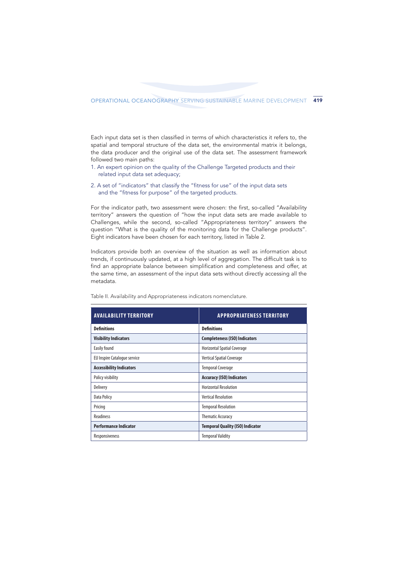Each input data set is then classified in terms of which characteristics it refers to, the spatial and temporal structure of the data set, the environmental matrix it belongs, the data producer and the original use of the data set. The assessment framework followed two main paths:

- 1. An expert opinion on the quality of the Challenge Targeted products and their related input data set adequacy;
- 2. A set of "indicators" that classify the "fitness for use" of the input data sets and the "fitness for purpose" of the targeted products.

For the indicator path, two assessment were chosen: the first, so-called "Availability territory" answers the question of "how the input data sets are made available to Challenges, while the second, so-called "Appropriateness territory" answers the question "What is the quality of the monitoring data for the Challenge products". Eight indicators have been chosen for each territory, listed in Table 2.

Indicators provide both an overview of the situation as well as information about trends, if continuously updated, at a high level of aggregation. The difficult task is to find an appropriate balance between simplification and completeness and offer, at the same time, an assessment of the input data sets without directly accessing all the metadata.

| <b>AVAILABILITY TERRITORY</b>   | <b>APPROPRIATENESS TERRITORY</b>        |
|---------------------------------|-----------------------------------------|
| <b>Definitions</b>              | <b>Definitions</b>                      |
| <b>Visibility Indicators</b>    | <b>Completeness (ISO) Indicators</b>    |
| Easily found                    | <b>Horizontal Spatial Coverage</b>      |
| EU Inspire Catalogue service    | <b>Vertical Spatial Coverage</b>        |
| <b>Accessibility Indicators</b> | <b>Temporal Coverage</b>                |
| Policy visibility               | <b>Accuracy (ISO) Indicators</b>        |
| <b>Delivery</b>                 | <b>Horizontal Resolution</b>            |
| <b>Data Policy</b>              | <b>Vertical Resolution</b>              |
| Pricing                         | <b>Temporal Resolution</b>              |
| <b>Readiness</b>                | <b>Thematic Accuracy</b>                |
| <b>Performance Indicator</b>    | <b>Temporal Quality (ISO) Indicator</b> |
| Responsiveness                  | <b>Temporal Validity</b>                |

Table II. Availability and Appropriateness indicators nomenclature.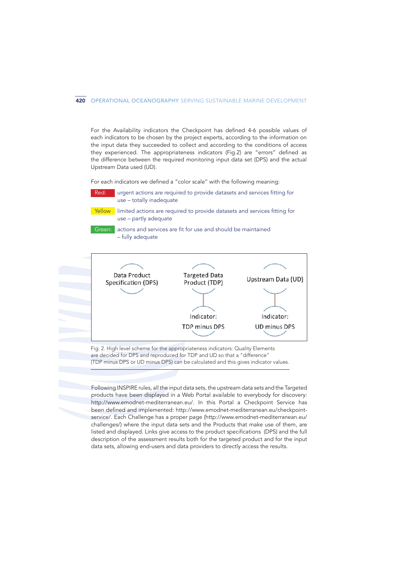For the Availability indicators the Checkpoint has defined 4-6 possible values of each indicators to be chosen by the project experts, according to the information on the input data they succeeded to collect and according to the conditions of access they experienced. The appropriateness indicators (Fig.2) are "errors" defined as the difference between the required monitoring input data set (DPS) and the actual Upstream Data used (UD).

For each indicators we defined a "color scale" with the following meaning:

Red: urgent actions are required to provide datasets and services fitting for use – totally inadequate

Yellow: limited actions are required to provide datasets and services fitting for use – partly adequate

Green: actions and services are fit for use and should be maintained – fully adequate



Fig. 2. High level scheme for the appropriateness indicators: Quality Elements are decided for DPS and reproduced for TDP and UD so that a "difference" (TDP minus DPS or UD minus DPS) can be calculated and this gives indicator values.

Following INSPIRE rules, all the input data sets, the upstream data sets and the Targeted products have been displayed in a Web Portal available to everybody for discovery: http://www.emodnet-mediterranean.eu/. In this Portal a Checkpoint Service has been defined and implemented: http://www.emodnet-mediterranean.eu/checkpointservice/. Each Challenge has a proper page (http://www.emodnet-mediterranean.eu/ challenges/) where the input data sets and the Products that make use of them, are listed and displayed. Links give access to the product specifications (DPS) and the full description of the assessment results both for the targeted product and for the input data sets, allowing end-users and data providers to directly access the results.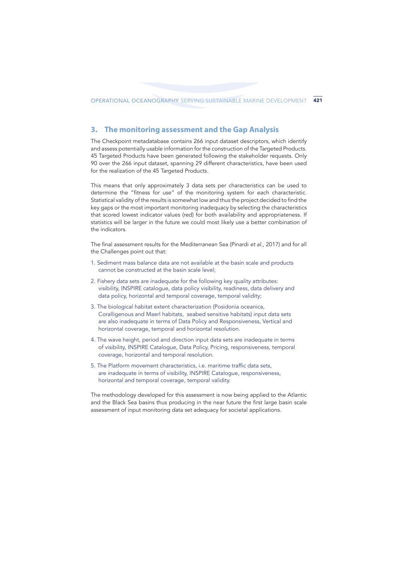## **3. The monitoring assessment and the Gap Analysis**

The Checkpoint metadatabase contains 266 input dataset descriptors, which identify and assess potentially usable information for the construction of the Targeted Products. 45 Targeted Products have been generated following the stakeholder requests. Only 90 over the 266 input dataset, spanning 29 different characteristics, have been used for the realization of the 45 Targeted Products.

This means that only approximately 3 data sets per characteristics can be used to determine the "fitness for use" of the monitoring system for each characteristic. Statistical validity of the results is somewhat low and thus the project decided to find the key gaps or the most important monitoring inadequacy by selecting the characteristics that scored lowest indicator values (red) for both availability and appropriateness. If statistics will be larger in the future we could most likely use a better combination of the indicators.

The final assessment results for the Mediterranean Sea (Pinardi *et al., 2017*) and for all the Challenges point out that:

- 1. Sediment mass balance data are not available at the basin scale and products cannot be constructed at the basin scale level;
- 2. Fishery data sets are inadequate for the following key quality attributes: visibility, INSPIRE catalogue, data policy visibility, readiness, data delivery and data policy, horizontal and temporal coverage, temporal validity;
- 3. The biological habitat extent characterization (Posidonia oceanica, Coralligenous and Maerl habitats, seabed sensitive habitats) input data sets are also inadequate in terms of Data Policy and Responsiveness, Vertical and horizontal coverage, temporal and horizontal resolution.
- 4. The wave height, period and direction input data sets are inadequate in terms of visibility, INSPIRE Catalogue, Data Policy, Pricing, responsiveness, temporal coverage, horizontal and temporal resolution.
- 5. The Platform movement characteristics, i.e. maritime traffic data sets, are inadequate in terms of visibility, INSPIRE Catalogue, responsiveness, horizontal and temporal coverage, temporal validity.

The methodology developed for this assessment is now being applied to the Atlantic and the Black Sea basins thus producing in the near future the first large basin scale assessment of input monitoring data set adequacy for societal applications.